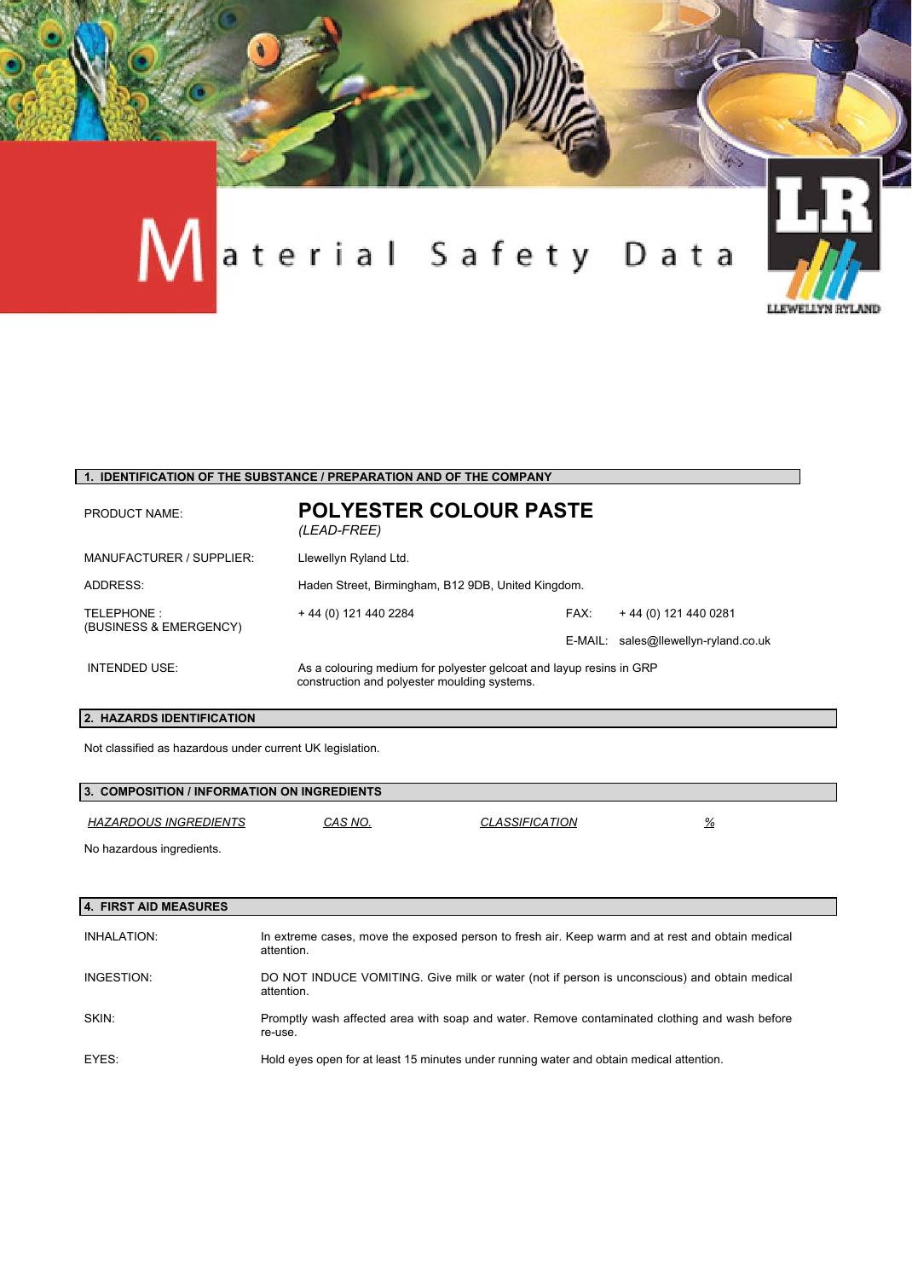

#### **1. IDENTIFICATION OF THE SUBSTANCE / PREPARATION AND OF THE COMPANY**

| <b>PRODUCT NAME:</b>                 | <b>POLYESTER COLOUR PASTE</b><br>(LEAD-FREE)                                                                        |      |                                      |
|--------------------------------------|---------------------------------------------------------------------------------------------------------------------|------|--------------------------------------|
| MANUFACTURER / SUPPLIER:             | Llewellyn Ryland Ltd.                                                                                               |      |                                      |
| ADDRESS:                             | Haden Street, Birmingham, B12 9DB, United Kingdom.                                                                  |      |                                      |
| TELEPHONE:<br>(BUSINESS & EMERGENCY) | + 44 (0) 121 440 2284                                                                                               | FAX: | +44 (0) 121 440 0281                 |
|                                      |                                                                                                                     |      | E-MAIL: sales@llewellyn-ryland.co.uk |
| INTENDED USE:                        | As a colouring medium for polyester gelcoat and layup resins in GRP<br>construction and polyester moulding systems. |      |                                      |

# **2. HAZARDS IDENTIFICATION**

Not classified as hazardous under current UK legislation.

| 3. COMPOSITION / INFORMATION ON INGREDIENTS |         |                              |               |  |
|---------------------------------------------|---------|------------------------------|---------------|--|
| HAZARDOUS INGREDIENTS                       | CAS NO. | <i><b>CLASSIFICATION</b></i> | $\frac{9}{6}$ |  |
| No hazardous ingredients.                   |         |                              |               |  |

| 4. FIRST AID MEASURES |                                                                                                                |
|-----------------------|----------------------------------------------------------------------------------------------------------------|
| INHALATION:           | In extreme cases, move the exposed person to fresh air. Keep warm and at rest and obtain medical<br>attention. |
| INGESTION:            | DO NOT INDUCE VOMITING. Give milk or water (not if person is unconscious) and obtain medical<br>attention.     |
| SKIN:                 | Promptly wash affected area with soap and water. Remove contaminated clothing and wash before<br>re-use.       |
| EYES:                 | Hold eyes open for at least 15 minutes under running water and obtain medical attention.                       |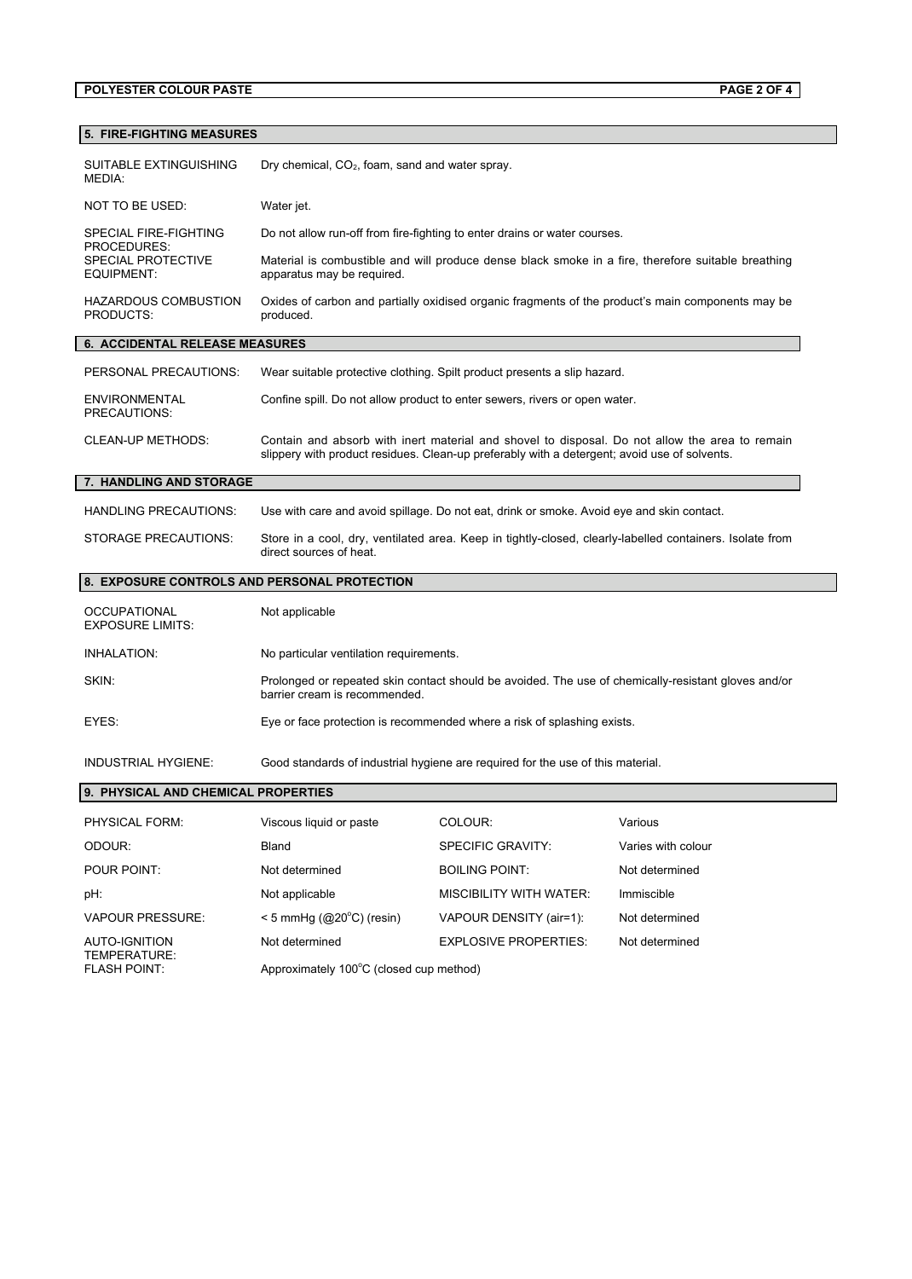# **POLYESTER COLOUR PASTE PAGE 2 OF 4**

| SUITABLE EXTINGUISHING<br><b>MEDIA:</b>                       | Dry chemical, $CO2$ , foam, sand and water spray.                                                                                                                                              |                                                                                           |                                                                                                    |
|---------------------------------------------------------------|------------------------------------------------------------------------------------------------------------------------------------------------------------------------------------------------|-------------------------------------------------------------------------------------------|----------------------------------------------------------------------------------------------------|
| NOT TO BE USED:                                               | Water jet.                                                                                                                                                                                     |                                                                                           |                                                                                                    |
| <b>SPECIAL FIRE-FIGHTING</b>                                  | Do not allow run-off from fire-fighting to enter drains or water courses.                                                                                                                      |                                                                                           |                                                                                                    |
| PROCEDURES:<br><b>SPECIAL PROTECTIVE</b><br><b>EQUIPMENT:</b> | apparatus may be required.                                                                                                                                                                     |                                                                                           | Material is combustible and will produce dense black smoke in a fire, therefore suitable breathing |
| <b>HAZARDOUS COMBUSTION</b><br>PRODUCTS:                      | Oxides of carbon and partially oxidised organic fragments of the product's main components may be<br>produced.                                                                                 |                                                                                           |                                                                                                    |
| 6. ACCIDENTAL RELEASE MEASURES                                |                                                                                                                                                                                                |                                                                                           |                                                                                                    |
| PERSONAL PRECAUTIONS:                                         |                                                                                                                                                                                                | Wear suitable protective clothing. Spilt product presents a slip hazard.                  |                                                                                                    |
| <b>ENVIRONMENTAL</b><br>PRECAUTIONS:                          |                                                                                                                                                                                                | Confine spill. Do not allow product to enter sewers, rivers or open water.                |                                                                                                    |
| CLEAN-UP METHODS:                                             | Contain and absorb with inert material and shovel to disposal. Do not allow the area to remain<br>slippery with product residues. Clean-up preferably with a detergent; avoid use of solvents. |                                                                                           |                                                                                                    |
| 7. HANDLING AND STORAGE                                       |                                                                                                                                                                                                |                                                                                           |                                                                                                    |
| <b>HANDLING PRECAUTIONS:</b>                                  |                                                                                                                                                                                                | Use with care and avoid spillage. Do not eat, drink or smoke. Avoid eye and skin contact. |                                                                                                    |
| <b>STORAGE PRECAUTIONS:</b>                                   | Store in a cool, dry, ventilated area. Keep in tightly-closed, clearly-labelled containers. Isolate from<br>direct sources of heat.                                                            |                                                                                           |                                                                                                    |
| 8. EXPOSURE CONTROLS AND PERSONAL PROTECTION                  |                                                                                                                                                                                                |                                                                                           |                                                                                                    |
| <b>OCCUPATIONAL</b><br><b>EXPOSURE LIMITS:</b>                | Not applicable                                                                                                                                                                                 |                                                                                           |                                                                                                    |
| INHALATION:                                                   | No particular ventilation requirements.                                                                                                                                                        |                                                                                           |                                                                                                    |
| SKIN:                                                         | Prolonged or repeated skin contact should be avoided. The use of chemically-resistant gloves and/or<br>barrier cream is recommended.                                                           |                                                                                           |                                                                                                    |
| EYES:                                                         | Eye or face protection is recommended where a risk of splashing exists.                                                                                                                        |                                                                                           |                                                                                                    |
| <b>INDUSTRIAL HYGIENE:</b>                                    | Good standards of industrial hygiene are required for the use of this material.                                                                                                                |                                                                                           |                                                                                                    |
| 9. PHYSICAL AND CHEMICAL PROPERTIES                           |                                                                                                                                                                                                |                                                                                           |                                                                                                    |
| PHYSICAL FORM:                                                | Viscous liquid or paste                                                                                                                                                                        | COLOUR:                                                                                   | Various                                                                                            |
| ODOUR:                                                        | <b>Bland</b>                                                                                                                                                                                   | <b>SPECIFIC GRAVITY:</b>                                                                  | Varies with colour                                                                                 |

| PHYSICAL FORM:                       | viscous liquid or paste                 | <b>COLOUR:</b>                 | various            |
|--------------------------------------|-----------------------------------------|--------------------------------|--------------------|
| ODOUR:                               | <b>Bland</b>                            | SPECIFIC GRAVITY:              | Varies with colour |
| POUR POINT:                          | Not determined                          | <b>BOILING POINT:</b>          | Not determined     |
| pH:                                  | Not applicable                          | <b>MISCIBILITY WITH WATER:</b> | Immiscible         |
| <b>VAPOUR PRESSURE:</b>              | $<$ 5 mmHq (@20 $^{\circ}$ C) (resin)   | VAPOUR DENSITY (air=1):        | Not determined     |
| <b>AUTO-IGNITION</b><br>TEMPERATURE: | Not determined                          | <b>EXPLOSIVE PROPERTIES:</b>   | Not determined     |
| <b>FLASH POINT:</b>                  | Approximately 100°C (closed cup method) |                                |                    |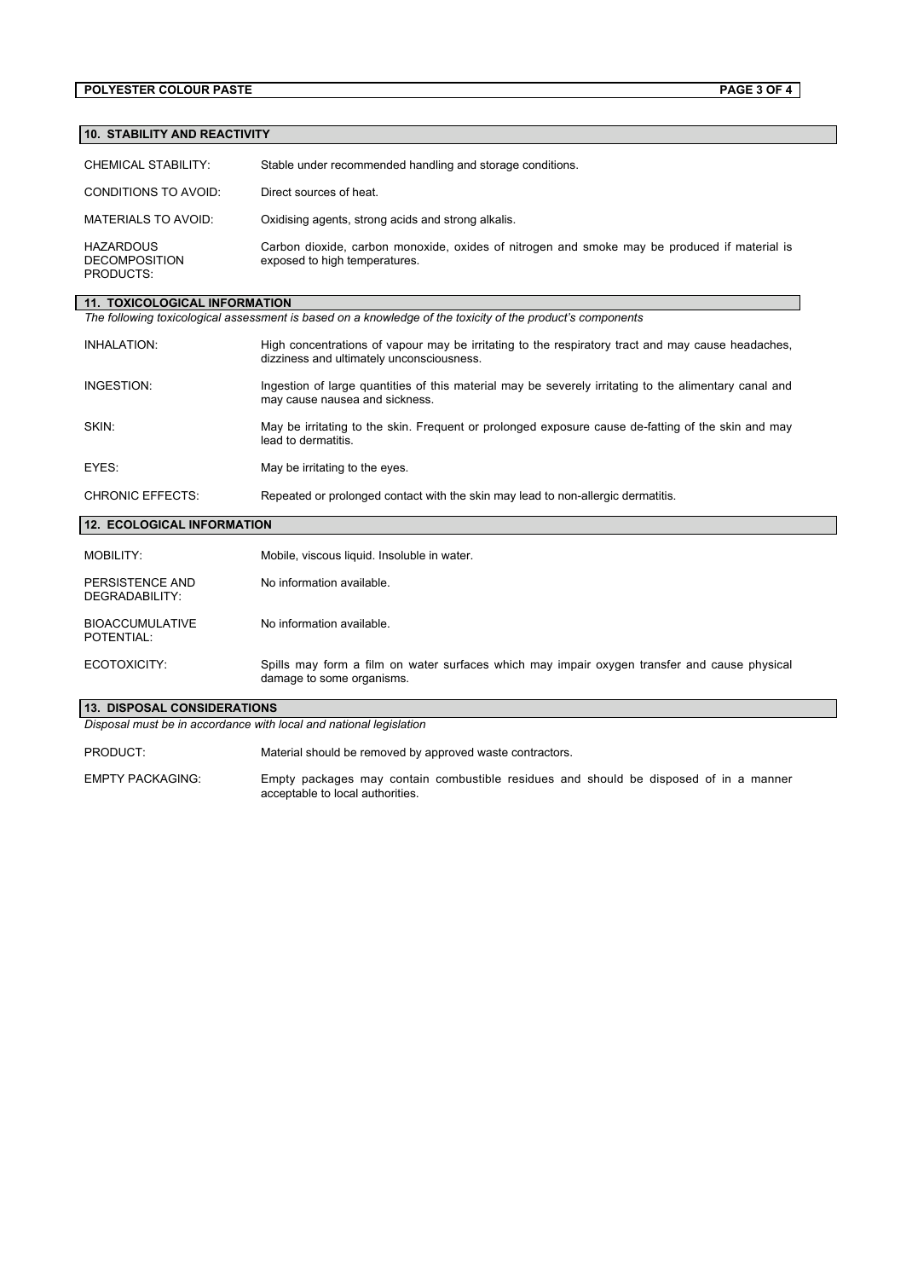### **POLYESTER COLOUR PASTE PAGE 3 OF 4**

# **10. STABILITY AND REACTIVITY**

| CHEMICAL STABILITY:                                                                                        | Stable under recommended handling and storage conditions.                                                                     |  |
|------------------------------------------------------------------------------------------------------------|-------------------------------------------------------------------------------------------------------------------------------|--|
| CONDITIONS TO AVOID:                                                                                       | Direct sources of heat.                                                                                                       |  |
| MATERIALS TO AVOID:                                                                                        | Oxidising agents, strong acids and strong alkalis.                                                                            |  |
| <b>HAZARDOUS</b><br><b>DECOMPOSITION</b><br>PRODUCTS:                                                      | Carbon dioxide, carbon monoxide, oxides of nitrogen and smoke may be produced if material is<br>exposed to high temperatures. |  |
| <b>11. TOXICOLOGICAL INFORMATION</b>                                                                       |                                                                                                                               |  |
| The following toxicological assessment is based on a knowledge of the toxicity of the product's components |                                                                                                                               |  |

| INHALATION:             | High concentrations of vapour may be irritating to the respiratory tract and may cause headaches,<br>dizziness and ultimately unconsciousness. |
|-------------------------|------------------------------------------------------------------------------------------------------------------------------------------------|
| INGESTION:              | Ingestion of large quantities of this material may be severely irritating to the alimentary canal and<br>may cause nausea and sickness.        |
| SKIN:                   | May be irritating to the skin. Freguent or prolonged exposure cause de-fatting of the skin and may<br>lead to dermatitis                       |
| EYES:                   | May be irritating to the eyes.                                                                                                                 |
| <b>CHRONIC EFFECTS:</b> | Repeated or prolonged contact with the skin may lead to non-allergic dermatitis.                                                               |

# **12. ECOLOGICAL INFORMATION**

| MOBILITY:                                                          | Mobile, viscous liquid. Insoluble in water.                                                                               |  |
|--------------------------------------------------------------------|---------------------------------------------------------------------------------------------------------------------------|--|
| PERSISTENCE AND<br>DEGRADABILITY:                                  | No information available                                                                                                  |  |
| <b>BIOACCUMULATIVE</b><br>POTENTIAL:                               | No information available                                                                                                  |  |
| ECOTOXICITY:                                                       | Spills may form a film on water surfaces which may impair oxygen transfer and cause physical<br>damage to some organisms. |  |
| <b>13. DISPOSAL CONSIDERATIONS</b>                                 |                                                                                                                           |  |
| Disposal must be in accordance with local and national legislation |                                                                                                                           |  |

PRODUCT: Material should be removed by approved waste contractors.

EMPTY PACKAGING: Empty packages may contain combustible residues and should be disposed of in a manner acceptable to local authorities.